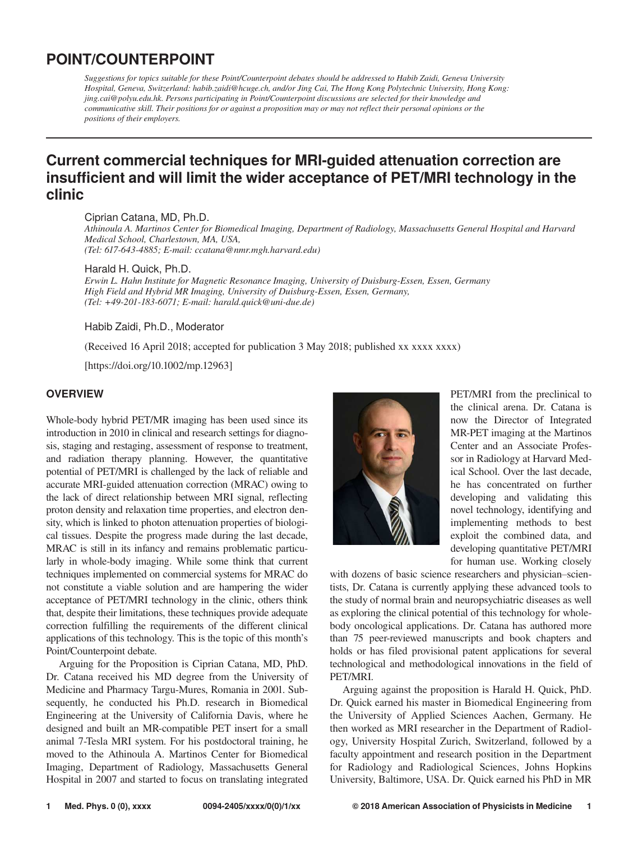# POINT/COUNTERPOINT

*Suggestions for topics suitable for these Point/Counterpoint debates should be addressed to Habib Zaidi, Geneva University Hospital, Geneva, Switzerland: [habib.zaidi@hcuge.ch,](habib.zaidi@hcuge.ch) and/or Jing Cai, The Hong Kong Polytechnic University, Hong Kong: <jing.cai@polyu.edu.hk>. Persons participating in Point/Counterpoint discussions are selected for their knowledge and communicative skill. Their positions for or against a proposition may or may not reflect their personal opinions or the positions of their employers.*

## Current commercial techniques for MRI-guided attenuation correction are insufficient and will limit the wider acceptance of PET/MRI technology in the clinic

Ciprian Catana, MD, Ph.D.

*Athinoula A. Martinos Center for Biomedical Imaging, Department of Radiology, Massachusetts General Hospital and Harvard Medical School, Charlestown, MA, USA, (Tel: 617-643-4885; E-mail: ccatana@nmr.mgh.harvard.edu)*

Harald H. Quick, Ph.D.

*Erwin L. Hahn Institute for Magnetic Resonance Imaging, University of Duisburg-Essen, Essen, Germany High Field and Hybrid MR Imaging, University of Duisburg-Essen, Essen, Germany, (Tel: +49-201-183-6071; E-mail: harald.quick@uni-due.de)*

Habib Zaidi, Ph.D., Moderator

(Received 16 April 2018; accepted for publication 3 May 2018; published xx xxxx xxxx)

[\[https://doi.org/10.1002/mp.12963\]](https://doi.org/10.1002/mp.12963)

## **OVERVIEW**

Whole-body hybrid PET/MR imaging has been used since its introduction in 2010 in clinical and research settings for diagnosis, staging and restaging, assessment of response to treatment, and radiation therapy planning. However, the quantitative potential of PET/MRI is challenged by the lack of reliable and accurate MRI-guided attenuation correction (MRAC) owing to the lack of direct relationship between MRI signal, reflecting proton density and relaxation time properties, and electron density, which is linked to photon attenuation properties of biological tissues. Despite the progress made during the last decade, MRAC is still in its infancy and remains problematic particularly in whole-body imaging. While some think that current techniques implemented on commercial systems for MRAC do not constitute a viable solution and are hampering the wider acceptance of PET/MRI technology in the clinic, others think that, despite their limitations, these techniques provide adequate correction fulfilling the requirements of the different clinical applications of this technology. This is the topic of this month's Point/Counterpoint debate.

Arguing for the Proposition is Ciprian Catana, MD, PhD. Dr. Catana received his MD degree from the University of Medicine and Pharmacy Targu-Mures, Romania in 2001. Subsequently, he conducted his Ph.D. research in Biomedical Engineering at the University of California Davis, where he designed and built an MR-compatible PET insert for a small animal 7-Tesla MRI system. For his postdoctoral training, he moved to the Athinoula A. Martinos Center for Biomedical Imaging, Department of Radiology, Massachusetts General Hospital in 2007 and started to focus on translating integrated



PET/MRI from the preclinical to the clinical arena. Dr. Catana is now the Director of Integrated MR-PET imaging at the Martinos Center and an Associate Professor in Radiology at Harvard Medical School. Over the last decade, he has concentrated on further developing and validating this novel technology, identifying and implementing methods to best exploit the combined data, and developing quantitative PET/MRI for human use. Working closely

with dozens of basic science researchers and physician–scientists, Dr. Catana is currently applying these advanced tools to the study of normal brain and neuropsychiatric diseases as well as exploring the clinical potential of this technology for wholebody oncological applications. Dr. Catana has authored more than 75 peer-reviewed manuscripts and book chapters and holds or has filed provisional patent applications for several technological and methodological innovations in the field of PET/MRI.

Arguing against the proposition is Harald H. Quick, PhD. Dr. Quick earned his master in Biomedical Engineering from the University of Applied Sciences Aachen, Germany. He then worked as MRI researcher in the Department of Radiology, University Hospital Zurich, Switzerland, followed by a faculty appointment and research position in the Department for Radiology and Radiological Sciences, Johns Hopkins University, Baltimore, USA. Dr. Quick earned his PhD in MR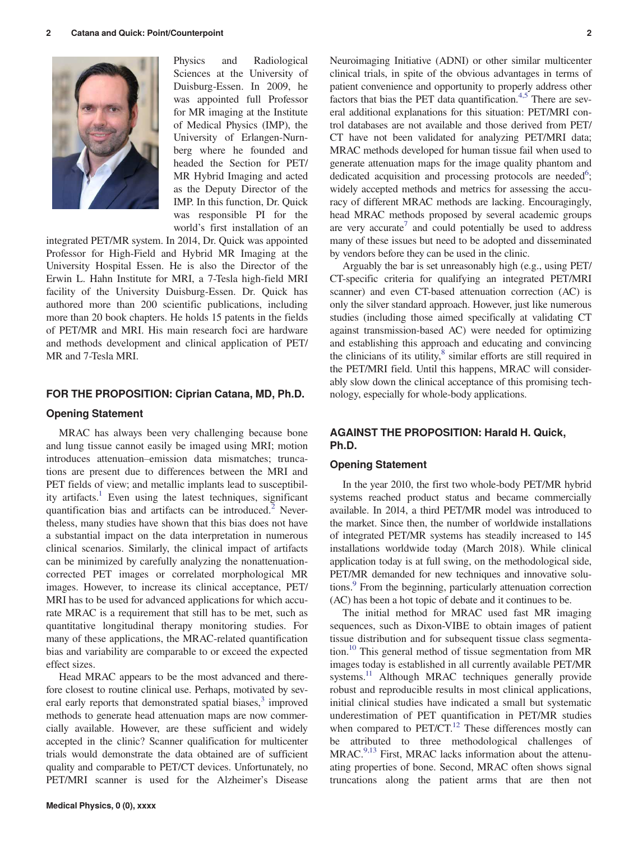

Physics and Radiological Sciences at the University of Duisburg-Essen. In 2009, he was appointed full Professor for MR imaging at the Institute of Medical Physics (IMP), the University of Erlangen-Nurnberg where he founded and headed the Section for PET/ MR Hybrid Imaging and acted as the Deputy Director of the IMP. In this function, Dr. Quick was responsible PI for the world's first installation of an

integrated PET/MR system. In 2014, Dr. Quick was appointed Professor for High-Field and Hybrid MR Imaging at the University Hospital Essen. He is also the Director of the Erwin L. Hahn Institute for MRI, a 7-Tesla high-field MRI facility of the University Duisburg-Essen. Dr. Quick has authored more than 200 scientific publications, including more than 20 book chapters. He holds 15 patents in the fields of PET/MR and MRI. His main research foci are hardware and methods development and clinical application of PET/ MR and 7-Tesla MRI.

#### FOR THE PROPOSITION: Ciprian Catana, MD, Ph.D.

#### Opening Statement

MRAC has always been very challenging because bone and lung tissue cannot easily be imaged using MRI; motion introduces attenuation–emission data mismatches; truncations are present due to differences between the MRI and PET fields of view; and metallic implants lead to susceptibil-ity artifacts.<sup>[1](#page-3-0)</sup> Even using the latest techniques, significant quantification bias and artifacts can be introduced.<sup>[2](#page-3-0)</sup> Nevertheless, many studies have shown that this bias does not have a substantial impact on the data interpretation in numerous clinical scenarios. Similarly, the clinical impact of artifacts can be minimized by carefully analyzing the nonattenuationcorrected PET images or correlated morphological MR images. However, to increase its clinical acceptance, PET/ MRI has to be used for advanced applications for which accurate MRAC is a requirement that still has to be met, such as quantitative longitudinal therapy monitoring studies. For many of these applications, the MRAC-related quantification bias and variability are comparable to or exceed the expected effect sizes.

Head MRAC appears to be the most advanced and therefore closest to routine clinical use. Perhaps, motivated by sev-eral early reports that demonstrated spatial biases,<sup>[3](#page-3-0)</sup> improved methods to generate head attenuation maps are now commercially available. However, are these sufficient and widely accepted in the clinic? Scanner qualification for multicenter trials would demonstrate the data obtained are of sufficient quality and comparable to PET/CT devices. Unfortunately, no PET/MRI scanner is used for the Alzheimer's Disease

Neuroimaging Initiative (ADNI) or other similar multicenter clinical trials, in spite of the obvious advantages in terms of patient convenience and opportunity to properly address other factors that bias the PET data quantification.<sup>[4,5](#page-3-0)</sup> There are several additional explanations for this situation: PET/MRI control databases are not available and those derived from PET/ CT have not been validated for analyzing PET/MRI data; MRAC methods developed for human tissue fail when used to generate attenuation maps for the image quality phantom and dedicated acquisition and processing protocols are needed<sup>[6](#page-3-0)</sup>; widely accepted methods and metrics for assessing the accuracy of different MRAC methods are lacking. Encouragingly, head MRAC methods proposed by several academic groups are very accurate<sup>[7](#page-3-0)</sup> and could potentially be used to address many of these issues but need to be adopted and disseminated by vendors before they can be used in the clinic.

Arguably the bar is set unreasonably high (e.g., using PET/ CT-specific criteria for qualifying an integrated PET/MRI scanner) and even CT-based attenuation correction (AC) is only the silver standard approach. However, just like numerous studies (including those aimed specifically at validating CT against transmission-based AC) were needed for optimizing and establishing this approach and educating and convincing the clinicians of its utility,<sup>[8](#page-3-0)</sup> similar efforts are still required in the PET/MRI field. Until this happens, MRAC will considerably slow down the clinical acceptance of this promising technology, especially for whole-body applications.

### AGAINST THE PROPOSITION: Harald H. Quick, Ph.D.

#### Opening Statement

In the year 2010, the first two whole-body PET/MR hybrid systems reached product status and became commercially available. In 2014, a third PET/MR model was introduced to the market. Since then, the number of worldwide installations of integrated PET/MR systems has steadily increased to 145 installations worldwide today (March 2018). While clinical application today is at full swing, on the methodological side, PET/MR demanded for new techniques and innovative solu-tions.<sup>[9](#page-3-0)</sup> From the beginning, particularly attenuation correction (AC) has been a hot topic of debate and it continues to be.

The initial method for MRAC used fast MR imaging sequences, such as Dixon-VIBE to obtain images of patient tissue distribution and for subsequent tissue class segmenta-tion.<sup>[10](#page-3-0)</sup> This general method of tissue segmentation from MR images today is established in all currently available PET/MR systems.<sup>[11](#page-3-0)</sup> Although MRAC techniques generally provide robust and reproducible results in most clinical applications, initial clinical studies have indicated a small but systematic underestimation of PET quantification in PET/MR studies when compared to PET/CT.<sup>[12](#page-3-0)</sup> These differences mostly can be attributed to three methodological challenges of  $MRAC$ .<sup>[9,13](#page-3-0)</sup> First, MRAC lacks information about the attenuating properties of bone. Second, MRAC often shows signal truncations along the patient arms that are then not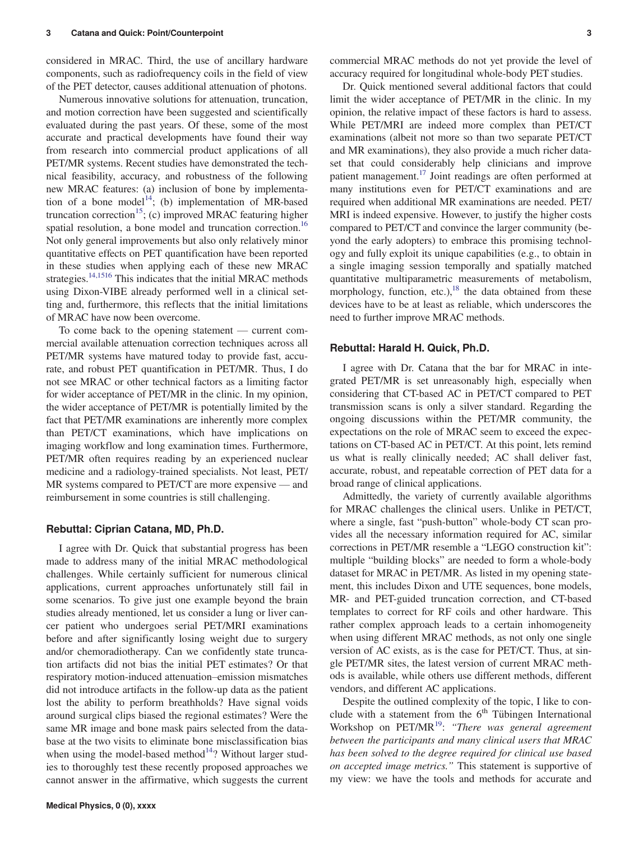considered in MRAC. Third, the use of ancillary hardware components, such as radiofrequency coils in the field of view of the PET detector, causes additional attenuation of photons.

Numerous innovative solutions for attenuation, truncation, and motion correction have been suggested and scientifically evaluated during the past years. Of these, some of the most accurate and practical developments have found their way from research into commercial product applications of all PET/MR systems. Recent studies have demonstrated the technical feasibility, accuracy, and robustness of the following new MRAC features: (a) inclusion of bone by implementa-tion of a bone model<sup>[14](#page-3-0)</sup>; (b) implementation of MR-based truncation correction<sup>[15](#page-3-0)</sup>; (c) improved MRAC featuring higher spatial resolution, a bone model and truncation correction.<sup>[16](#page-3-0)</sup> Not only general improvements but also only relatively minor quantitative effects on PET quantification have been reported in these studies when applying each of these new MRAC strategies.<sup>[14,1516](#page-3-0)</sup> This indicates that the initial MRAC methods using Dixon-VIBE already performed well in a clinical setting and, furthermore, this reflects that the initial limitations of MRAC have now been overcome.

To come back to the opening statement — current commercial available attenuation correction techniques across all PET/MR systems have matured today to provide fast, accurate, and robust PET quantification in PET/MR. Thus, I do not see MRAC or other technical factors as a limiting factor for wider acceptance of PET/MR in the clinic. In my opinion, the wider acceptance of PET/MR is potentially limited by the fact that PET/MR examinations are inherently more complex than PET/CT examinations, which have implications on imaging workflow and long examination times. Furthermore, PET/MR often requires reading by an experienced nuclear medicine and a radiology-trained specialists. Not least, PET/ MR systems compared to PET/CT are more expensive — and reimbursement in some countries is still challenging.

#### Rebuttal: Ciprian Catana, MD, Ph.D.

I agree with Dr. Quick that substantial progress has been made to address many of the initial MRAC methodological challenges. While certainly sufficient for numerous clinical applications, current approaches unfortunately still fail in some scenarios. To give just one example beyond the brain studies already mentioned, let us consider a lung or liver cancer patient who undergoes serial PET/MRI examinations before and after significantly losing weight due to surgery and/or chemoradiotherapy. Can we confidently state truncation artifacts did not bias the initial PET estimates? Or that respiratory motion-induced attenuation–emission mismatches did not introduce artifacts in the follow-up data as the patient lost the ability to perform breathholds? Have signal voids around surgical clips biased the regional estimates? Were the same MR image and bone mask pairs selected from the database at the two visits to eliminate bone misclassification bias when using the model-based method<sup>[14](#page-3-0)</sup>? Without larger studies to thoroughly test these recently proposed approaches we cannot answer in the affirmative, which suggests the current

Dr. Quick mentioned several additional factors that could limit the wider acceptance of PET/MR in the clinic. In my opinion, the relative impact of these factors is hard to assess. While PET/MRI are indeed more complex than PET/CT examinations (albeit not more so than two separate PET/CT and MR examinations), they also provide a much richer dataset that could considerably help clinicians and improve patient management.<sup>[17](#page-3-0)</sup> Joint readings are often performed at many institutions even for PET/CT examinations and are required when additional MR examinations are needed. PET/ MRI is indeed expensive. However, to justify the higher costs compared to PET/CT and convince the larger community (beyond the early adopters) to embrace this promising technology and fully exploit its unique capabilities (e.g., to obtain in a single imaging session temporally and spatially matched quantitative multiparametric measurements of metabolism, morphology, function, etc.), $^{18}$  $^{18}$  $^{18}$  the data obtained from these devices have to be at least as reliable, which underscores the need to further improve MRAC methods.

#### Rebuttal: Harald H. Quick, Ph.D.

I agree with Dr. Catana that the bar for MRAC in integrated PET/MR is set unreasonably high, especially when considering that CT-based AC in PET/CT compared to PET transmission scans is only a silver standard. Regarding the ongoing discussions within the PET/MR community, the expectations on the role of MRAC seem to exceed the expectations on CT-based AC in PET/CT. At this point, lets remind us what is really clinically needed; AC shall deliver fast, accurate, robust, and repeatable correction of PET data for a broad range of clinical applications.

Admittedly, the variety of currently available algorithms for MRAC challenges the clinical users. Unlike in PET/CT, where a single, fast "push-button" whole-body CT scan provides all the necessary information required for AC, similar corrections in PET/MR resemble a "LEGO construction kit": multiple "building blocks" are needed to form a whole-body dataset for MRAC in PET/MR. As listed in my opening statement, this includes Dixon and UTE sequences, bone models, MR- and PET-guided truncation correction, and CT-based templates to correct for RF coils and other hardware. This rather complex approach leads to a certain inhomogeneity when using different MRAC methods, as not only one single version of AC exists, as is the case for PET/CT. Thus, at single PET/MR sites, the latest version of current MRAC methods is available, while others use different methods, different vendors, and different AC applications.

Despite the outlined complexity of the topic, I like to conclude with a statement from the  $6<sup>th</sup>$  Tübingen International Workshop on PET/MR[19](#page-3-0): "*There was general agreement between the participants and many clinical users that MRAC has been solved to the degree required for clinical use based on accepted image metrics.*" This statement is supportive of my view: we have the tools and methods for accurate and